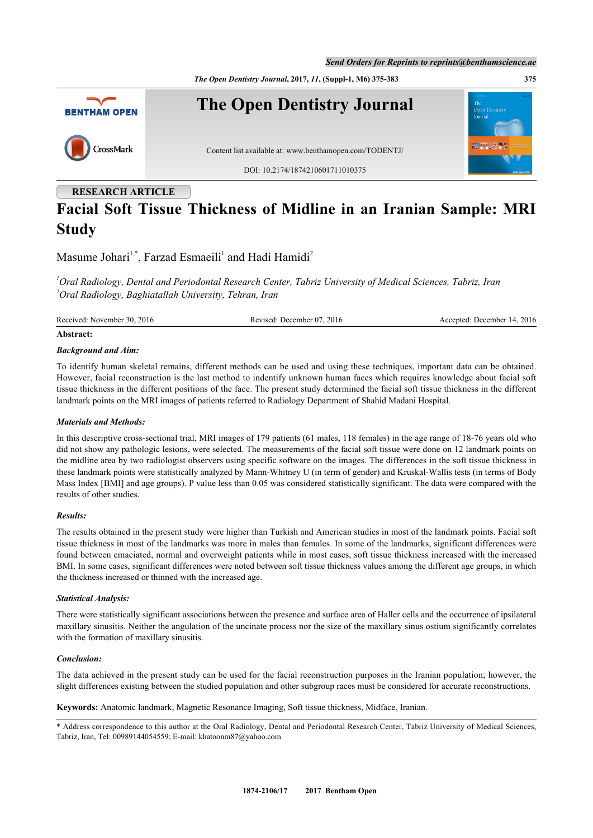*The Open Dentistry Journal***, 2017,** *11***, (Suppl-1, M6) 375-383 375**



# **RESEARCH ARTICLE Facial Soft Tissue Thickness of Midline in an Iranian Sample: MRI Study**

Masume Johari<sup>[1,](#page-0-0)\*</sup>, Farzad Esmaeili<sup>[1](#page-0-0)</sup> and Hadi Hamidi<sup>[2](#page-0-1)</sup>

<span id="page-0-1"></span><span id="page-0-0"></span>*<sup>1</sup>Oral Radiology, Dental and Periodontal Research Center, Tabriz University of Medical Sciences, Tabriz, Iran <sup>2</sup>Oral Radiology, Baghiatallah University, Tehran, Iran*

Received: November 30, 2016 Revised: December 07, 2016 Accepted: December 14, 2016

### **Abstract:**

### *Background and Aim:*

To identify human skeletal remains, different methods can be used and using these techniques, important data can be obtained. However, facial reconstruction is the last method to indentify unknown human faces which requires knowledge about facial soft tissue thickness in the different positions of the face. The present study determined the facial soft tissue thickness in the different landmark points on the MRI images of patients referred to Radiology Department of Shahid Madani Hospital.

### *Materials and Methods:*

In this descriptive cross-sectional trial, MRI images of 179 patients (61 males, 118 females) in the age range of 18-76 years old who did not show any pathologic lesions, were selected. The measurements of the facial soft tissue were done on 12 landmark points on the midline area by two radiologist observers using specific software on the images. The differences in the soft tissue thickness in these landmark points were statistically analyzed by Mann-Whitney U (in term of gender) and Kruskal-Wallis tests (in terms of Body Mass Index [BMI] and age groups). P value less than 0.05 was considered statistically significant. The data were compared with the results of other studies.

### *Results:*

The results obtained in the present study were higher than Turkish and American studies in most of the landmark points. Facial soft tissue thickness in most of the landmarks was more in males than females. In some of the landmarks, significant differences were found between emaciated, normal and overweight patients while in most cases, soft tissue thickness increased with the increased BMI. In some cases, significant differences were noted between soft tissue thickness values among the different age groups, in which the thickness increased or thinned with the increased age.

## *Statistical Analysis:*

There were statistically significant associations between the presence and surface area of Haller cells and the occurrence of ipsilateral maxillary sinusitis. Neither the angulation of the uncinate process nor the size of the maxillary sinus ostium significantly correlates with the formation of maxillary sinusitis.

### *Conclusion:*

The data achieved in the present study can be used for the facial reconstruction purposes in the Iranian population; however, the slight differences existing between the studied population and other subgroup races must be considered for accurate reconstructions.

**Keywords:** Anatomic landmark, Magnetic Resonance Imaging, Soft tissue thickness, Midface, Iranian.

<sup>\*</sup> Address correspondence to this author at the Oral Radiology, Dental and Periodontal Research Center, Tabriz University of Medical Sciences, Tabriz, Iran, Tel: 00989144054559; E-mail: [khatoonm87@yahoo.com](mailto:khatoonm87@yahoo.com)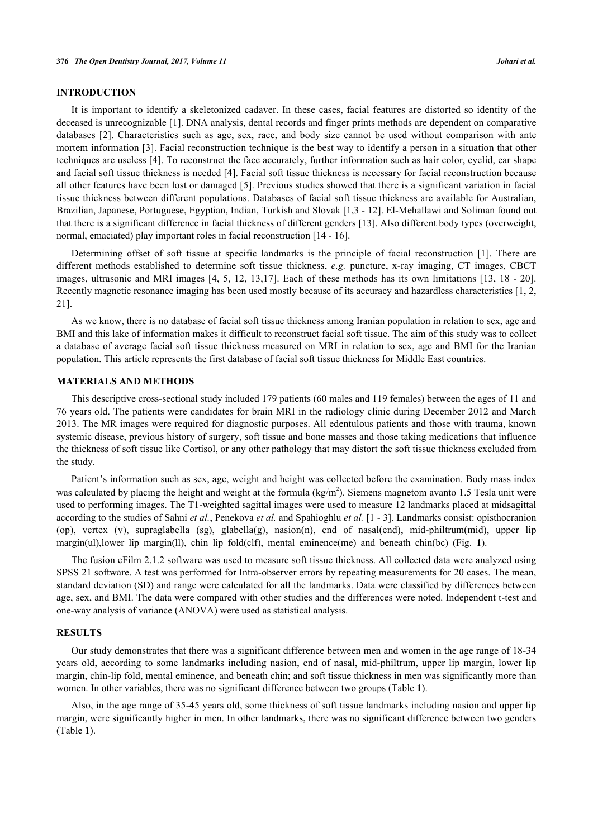# **INTRODUCTION**

It is important to identify a skeletonized cadaver. In these cases, facial features are distorted so identity of the deceased is unrecognizable [\[1](#page-6-0)]. DNA analysis, dental records and finger prints methods are dependent on comparative databases [\[2](#page-7-0)]. Characteristics such as age, sex, race, and body size cannot be used without comparison with ante mortem information [\[3](#page-7-1)]. Facial reconstruction technique is the best way to identify a person in a situation that other techniques are useless [\[4](#page-7-2)]. To reconstruct the face accurately, further information such as hair color, eyelid, ear shape and facial soft tissue thickness is needed [\[4](#page-7-2)]. Facial soft tissue thickness is necessary for facial reconstruction because all other features have been lost or damaged [\[5\]](#page-7-3). Previous studies showed that there is a significant variation in facial tissue thickness between different populations. Databases of facial soft tissue thickness are available for Australian, Brazilian, Japanese, Portuguese, Egyptian, Indian, Turkish and Slovak [[1,](#page-6-0)[3](#page-7-1) - [12](#page-7-4)]. El-Mehallawi and Soliman found out that there is a significant difference in facial thickness of different genders [\[13](#page-7-5)]. Also different body types (overweight, normal, emaciated) play important roles in facial reconstruction [\[14](#page-7-6) - [16\]](#page-7-7).

Determining offset of soft tissue at specific landmarks is the principle of facial reconstruction[[1](#page-6-0)]. There are different methods established to determine soft tissue thickness, *e.g.* puncture, x-ray imaging, CT images, CBCT images, ultrasonic and MRI images [[4,](#page-7-2) [5](#page-7-3), [12](#page-7-4), [13](#page-7-5)[,17\]](#page-7-8). Each of these methods has its own limitations [\[13,](#page-7-5) [18](#page-7-9) - [20\]](#page-7-10). Recently magnetic resonance imaging has been used mostly because of its accuracy and hazardless characteristics [[1,](#page-6-0) [2](#page-7-0), [21\]](#page-7-11).

As we know, there is no database of facial soft tissue thickness among Iranian population in relation to sex, age and BMI and this lake of information makes it difficult to reconstruct facial soft tissue. The aim of this study was to collect a database of average facial soft tissue thickness measured on MRI in relation to sex, age and BMI for the Iranian population. This article represents the first database of facial soft tissue thickness for Middle East countries.

# **MATERIALS AND METHODS**

This descriptive cross-sectional study included 179 patients (60 males and 119 females) between the ages of 11 and 76 years old. The patients were candidates for brain MRI in the radiology clinic during December 2012 and March 2013. The MR images were required for diagnostic purposes. All edentulous patients and those with trauma, known systemic disease, previous history of surgery, soft tissue and bone masses and those taking medications that influence the thickness of soft tissue like Cortisol, or any other pathology that may distort the soft tissue thickness excluded from the study.

Patient's information such as sex, age, weight and height was collected before the examination. Body mass index was calculated by placing the height and weight at the formula  $(kg/m<sup>2</sup>)$ . Siemens magnetom avanto 1.5 Tesla unit were used to performing images. The T1-weighted sagittal images were used to measure 12 landmarks placed at midsagittal according to the studies of Sahni *et al.*, Penekova *et al.* and Spahioghlu *et al.* [\[1](#page-6-0) - [3\]](#page-7-1). Landmarks consist: opisthocranion (op), vertex (v), supraglabella (sg), glabella(g), nasion(n), end of nasal(end), mid-philtrum(mid), upper lip margin(ul),lower lip margin(ll), chin lip fold(clf), mental eminence(me) and beneath chin(bc) (Fig.**1**).

The fusion eFilm 2.1.2 software was used to measure soft tissue thickness. All collected data were analyzed using SPSS 21 software. A test was performed for Intra-observer errors by repeating measurements for 20 cases. The mean, standard deviation (SD) and range were calculated for all the landmarks. Data were classified by differences between age, sex, and BMI. The data were compared with other studies and the differences were noted. Independent t-test and one-way analysis of variance (ANOVA) were used as statistical analysis.

# **RESULTS**

Our study demonstrates that there was a significant difference between men and women in the age range of 18-34 years old, according to some landmarks including nasion, end of nasal, mid-philtrum, upper lip margin, lower lip margin, chin-lip fold, mental eminence, and beneath chin; and soft tissue thickness in men was significantly more than women. In other variables, there was no significant difference between two groups (Table **[1](#page-2-0)**).

<span id="page-1-0"></span>Also, in the age range of 35-45 years old, some thickness of soft tissue landmarks including nasion and upper lip margin, were significantly higher in men. In other landmarks, there was no significant difference between two genders (Table **[1](#page-2-0)**).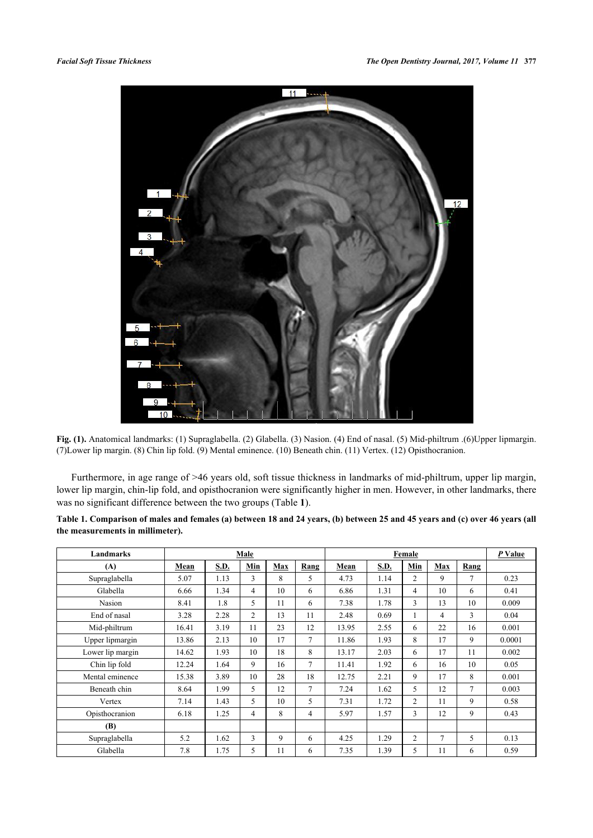

**Fig. (1).** Anatomical landmarks: (1) Supraglabella. (2) Glabella. (3) Nasion. (4) End of nasal. (5) Mid-philtrum .(6)Upper lipmargin. (7)Lower lip margin. (8) Chin lip fold. (9) Mental eminence. (10) Beneath chin. (11) Vertex. (12) Opisthocranion.

Furthermore, in age range of >46 years old, soft tissue thickness in landmarks of mid-philtrum, upper lip margin, lower lip margin, chin-lip fold, and opisthocranion were significantly higher in men. However, in other landmarks, there was no significant difference between the two groups (Table **[1](#page-2-0)**).

<span id="page-2-0"></span>

| Table 1. Comparison of males and females (a) between 18 and 24 years, (b) between 25 and 45 years and (c) over 46 years (all |  |  |
|------------------------------------------------------------------------------------------------------------------------------|--|--|
| the measurements in millimeter).                                                                                             |  |  |

| Landmarks        |       |      | Male |     |                | Female |      |                |        | P Value        |        |
|------------------|-------|------|------|-----|----------------|--------|------|----------------|--------|----------------|--------|
| (A)              | Mean  | S.D. | Min  | Max | Rang           | Mean   | S.D. | Min            | Max    | Rang           |        |
| Supraglabella    | 5.07  | 1.13 | 3    | 8   | 5              | 4.73   | 1.14 | 2              | 9      | $\overline{7}$ | 0.23   |
| Glabella         | 6.66  | 1.34 | 4    | 10  | 6              | 6.86   | 1.31 | 4              | 10     | 6              | 0.41   |
| Nasion           | 8.41  | 1.8  | 5    | 11  | 6              | 7.38   | 1.78 | $\overline{3}$ | 13     | 10             | 0.009  |
| End of nasal     | 3.28  | 2.28 | 2    | 13  | 11             | 2.48   | 0.69 |                | 4      | 3              | 0.04   |
| Mid-philtrum     | 16.41 | 3.19 | 11   | 23  | 12             | 13.95  | 2.55 | 6              | 22     | 16             | 0.001  |
| Upper lipmargin  | 13.86 | 2.13 | 10   | 17  | $\overline{7}$ | 11.86  | 1.93 | 8              | 17     | 9              | 0.0001 |
| Lower lip margin | 14.62 | 1.93 | 10   | 18  | 8              | 13.17  | 2.03 | 6              | 17     | 11             | 0.002  |
| Chin lip fold    | 12.24 | 1.64 | 9    | 16  | $\overline{7}$ | 11.41  | 1.92 | 6              | 16     | 10             | 0.05   |
| Mental eminence  | 15.38 | 3.89 | 10   | 28  | 18             | 12.75  | 2.21 | 9              | 17     | 8              | 0.001  |
| Beneath chin     | 8.64  | 1.99 | 5    | 12  | $\overline{7}$ | 7.24   | 1.62 | 5              | 12     | $\overline{7}$ | 0.003  |
| Vertex           | 7.14  | 1.43 | 5    | 10  | 5              | 7.31   | 1.72 | $\overline{2}$ | 11     | 9              | 0.58   |
| Opisthocranion   | 6.18  | 1.25 | 4    | 8   | 4              | 5.97   | 1.57 | 3              | 12     | 9              | 0.43   |
| (B)              |       |      |      |     |                |        |      |                |        |                |        |
| Supraglabella    | 5.2   | 1.62 | 3    | 9   | 6              | 4.25   | 1.29 | $\overline{c}$ | $\tau$ | 5              | 0.13   |
| Glabella         | 7.8   | 1.75 | 5    | 11  | 6              | 7.35   | 1.39 | 5              | 11     | 6              | 0.59   |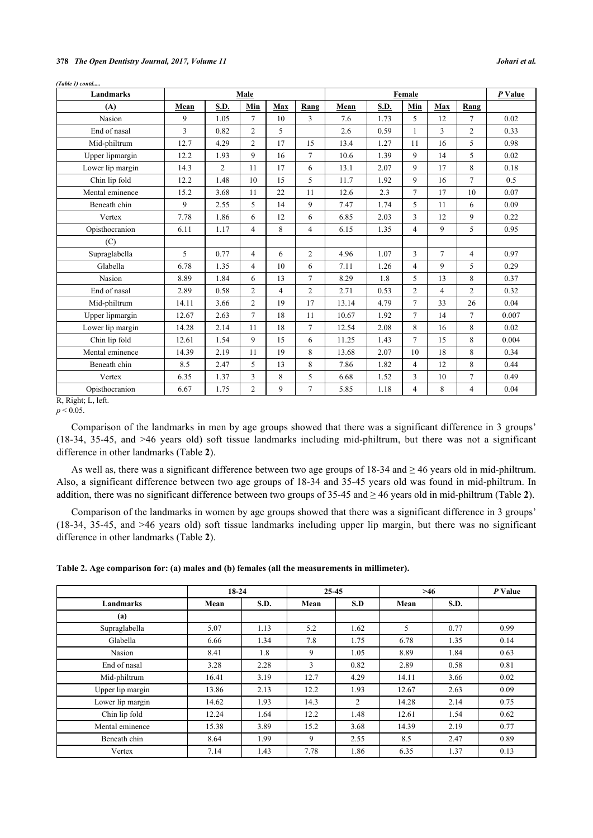# **378** *The Open Dentistry Journal, 2017, Volume 11 Johari et al.*

| Landmarks        |                |                | Male           |                |                | Female |      |                |                | P Value        |       |
|------------------|----------------|----------------|----------------|----------------|----------------|--------|------|----------------|----------------|----------------|-------|
| (A)              | Mean           | S.D.           | Min            | Max            | Rang           | Mean   | S.D. | Min            | Max            | Rang           |       |
| Nasion           | 9              | 1.05           | $\tau$         | 10             | 3              | 7.6    | 1.73 | 5              | 12             | $\tau$         | 0.02  |
| End of nasal     | $\overline{3}$ | 0.82           | $\overline{2}$ | 5              |                | 2.6    | 0.59 | $\mathbf{1}$   | 3              | $\overline{2}$ | 0.33  |
| Mid-philtrum     | 12.7           | 4.29           | $\overline{2}$ | 17             | 15             | 13.4   | 1.27 | 11             | 16             | 5              | 0.98  |
| Upper lipmargin  | 12.2           | 1.93           | 9              | 16             | $\overline{7}$ | 10.6   | 1.39 | 9              | 14             | 5              | 0.02  |
| Lower lip margin | 14.3           | $\overline{2}$ | 11             | 17             | 6              | 13.1   | 2.07 | 9              | 17             | 8              | 0.18  |
| Chin lip fold    | 12.2           | 1.48           | 10             | 15             | 5              | 11.7   | 1.92 | 9              | 16             | $\tau$         | 0.5   |
| Mental eminence  | 15.2           | 3.68           | 11             | 22             | 11             | 12.6   | 2.3  | $\tau$         | 17             | 10             | 0.07  |
| Beneath chin     | 9              | 2.55           | 5              | 14             | 9              | 7.47   | 1.74 | 5              | 11             | 6              | 0.09  |
| Vertex           | 7.78           | 1.86           | 6              | 12             | 6              | 6.85   | 2.03 | $\overline{3}$ | 12             | 9              | 0.22  |
| Opisthocranion   | 6.11           | 1.17           | $\overline{4}$ | 8              | $\overline{4}$ | 6.15   | 1.35 | $\overline{4}$ | 9              | 5              | 0.95  |
| (C)              |                |                |                |                |                |        |      |                |                |                |       |
| Supraglabella    | 5              | 0.77           | $\overline{4}$ | 6              | $\overline{2}$ | 4.96   | 1.07 | $\overline{3}$ | $\overline{7}$ | $\overline{4}$ | 0.97  |
| Glabella         | 6.78           | 1.35           | $\overline{4}$ | 10             | 6              | 7.11   | 1.26 | $\overline{4}$ | 9              | 5              | 0.29  |
| <b>Nasion</b>    | 8.89           | 1.84           | 6              | 13             | $\overline{7}$ | 8.29   | 1.8  | 5              | 13             | 8              | 0.37  |
| End of nasal     | 2.89           | 0.58           | $\overline{2}$ | $\overline{4}$ | $\overline{c}$ | 2.71   | 0.53 | $\overline{2}$ | $\overline{4}$ | $\overline{2}$ | 0.32  |
| Mid-philtrum     | 14.11          | 3.66           | $\overline{2}$ | 19             | 17             | 13.14  | 4.79 | $\overline{7}$ | 33             | 26             | 0.04  |
| Upper lipmargin  | 12.67          | 2.63           | $\overline{7}$ | 18             | 11             | 10.67  | 1.92 | $\tau$         | 14             | $\tau$         | 0.007 |
| Lower lip margin | 14.28          | 2.14           | 11             | 18             | $\overline{7}$ | 12.54  | 2.08 | 8              | 16             | 8              | 0.02  |
| Chin lip fold    | 12.61          | 1.54           | 9              | 15             | 6              | 11.25  | 1.43 | $\overline{7}$ | 15             | 8              | 0.004 |
| Mental eminence  | 14.39          | 2.19           | 11             | 19             | 8              | 13.68  | 2.07 | 10             | 18             | 8              | 0.34  |
| Beneath chin     | 8.5            | 2.47           | 5              | 13             | 8              | 7.86   | 1.82 | 4              | 12             | 8              | 0.44  |
| Vertex           | 6.35           | 1.37           | 3              | 8              | 5              | 6.68   | 1.52 | 3              | 10             | $\overline{7}$ | 0.49  |
| Opisthocranion   | 6.67           | 1.75           | $\overline{2}$ | 9              | $\overline{7}$ | 5.85   | 1.18 | $\overline{4}$ | 8              | $\overline{4}$ | 0.04  |

*(Table 1) contd.....*

Comparison of the landmarks in men by age groups showed that there was a significant difference in 3 groups' (18-34, 35-45, and >46 years old) soft tissue landmarks including mid-philtrum, but there was not a significant difference in other landmarks (Table **[2](#page-3-0)**).

As well as, there was a significant difference between two age groups of 18-34 and ≥ 46 years old in mid-philtrum. Also, a significant difference between two age groups of 18-34 and 35-45 years old was found in mid-philtrum. In addition, there was no significant difference between two groups of 35-45 and ≥ 46 years old in mid-philtrum (Table **[2](#page-3-0)**).

Comparison of the landmarks in women by age groups showed that there was a significant difference in 3 groups' (18-34, 35-45, and >46 years old) soft tissue landmarks including upper lip margin, but there was no significant difference in other landmarks (Table **[2](#page-3-0)**).

<span id="page-3-0"></span>**Table 2. Age comparison for: (a) males and (b) females (all the measurements in millimeter).**

|                  | $18-24$ |             | 25-45 |                | >46   |      | P Value |
|------------------|---------|-------------|-------|----------------|-------|------|---------|
| Landmarks        | Mean    | <b>S.D.</b> | Mean  | S.D            | Mean  | S.D. |         |
| (a)              |         |             |       |                |       |      |         |
| Supraglabella    | 5.07    | 1.13        | 5.2   | 1.62           | 5     | 0.77 | 0.99    |
| Glabella         | 6.66    | 1.34        | 7.8   | 1.75           | 6.78  | 1.35 | 0.14    |
| Nasion           | 8.41    | 1.8         | 9     | 1.05           | 8.89  | 1.84 | 0.63    |
| End of nasal     | 3.28    | 2.28        | 3     | 0.82           | 2.89  | 0.58 | 0.81    |
| Mid-philtrum     | 16.41   | 3.19        | 12.7  | 4.29           | 14.11 | 3.66 | 0.02    |
| Upper lip margin | 13.86   | 2.13        | 12.2  | 1.93           | 12.67 | 2.63 | 0.09    |
| Lower lip margin | 14.62   | 1.93        | 14.3  | $\overline{2}$ | 14.28 | 2.14 | 0.75    |
| Chin lip fold    | 12.24   | 1.64        | 12.2  | 1.48           | 12.61 | 1.54 | 0.62    |
| Mental eminence  | 15.38   | 3.89        | 15.2  | 3.68           | 14.39 | 2.19 | 0.77    |
| Beneath chin     | 8.64    | 1.99        | 9     | 2.55           | 8.5   | 2.47 | 0.89    |
| Vertex           | 7.14    | 1.43        | 7.78  | 1.86           | 6.35  | 1.37 | 0.13    |

 $p < 0.05$ .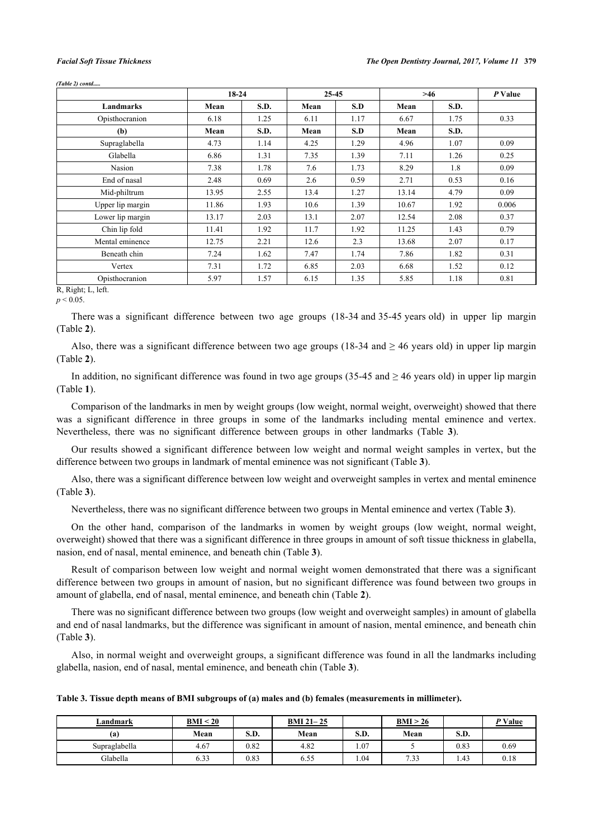*(Table 2) contd.....*

|                         | $18-24$ |      | $25 - 45$ |      | >46   |      | P Value |
|-------------------------|---------|------|-----------|------|-------|------|---------|
| Landmarks               | Mean    | S.D. | Mean      | S.D  | Mean  | S.D. |         |
| Opisthocranion          | 6.18    | 1.25 | 6.11      | 1.17 | 6.67  | 1.75 | 0.33    |
| (b)                     | Mean    | S.D. | Mean      | S.D  | Mean  | S.D. |         |
| Supraglabella           | 4.73    | 1.14 | 4.25      | 1.29 | 4.96  | 1.07 | 0.09    |
| Glabella                | 6.86    | 1.31 | 7.35      | 1.39 | 7.11  | 1.26 | 0.25    |
| Nasion                  | 7.38    | 1.78 | 7.6       | 1.73 | 8.29  | 1.8  | 0.09    |
| End of nasal            | 2.48    | 0.69 | 2.6       | 0.59 | 2.71  | 0.53 | 0.16    |
| Mid-philtrum            | 13.95   | 2.55 | 13.4      | 1.27 | 13.14 | 4.79 | 0.09    |
| Upper lip margin        | 11.86   | 1.93 | 10.6      | 1.39 | 10.67 | 1.92 | 0.006   |
| Lower lip margin        | 13.17   | 2.03 | 13.1      | 2.07 | 12.54 | 2.08 | 0.37    |
| Chin lip fold           | 11.41   | 1.92 | 11.7      | 1.92 | 11.25 | 1.43 | 0.79    |
| Mental eminence         | 12.75   | 2.21 | 12.6      | 2.3  | 13.68 | 2.07 | 0.17    |
| Beneath chin            | 7.24    | 1.62 | 7.47      | 1.74 | 7.86  | 1.82 | 0.31    |
| Vertex                  | 7.31    | 1.72 | 6.85      | 2.03 | 6.68  | 1.52 | 0.12    |
| Opisthocranion<br>$  -$ | 5.97    | 1.57 | 6.15      | 1.35 | 5.85  | 1.18 | 0.81    |

R, Right; L, left.

 $p < 0.05$ .

There was a significant difference between two age groups (18-34 and 35-45 years old) in upper lip margin (Table **[2](#page-3-0)**).

Also, there was a significant difference between two age groups (18-34 and  $\geq$  46 years old) in upper lip margin (Table **[2](#page-3-0)**).

In addition, no significant difference was found in two age groups (35-45 and  $\geq$  46 years old) in upper lip margin (Table **[1](#page-2-0)**).

Comparison of the landmarks in men by weight groups (low weight, normal weight, overweight) showed that there was a significant difference in three groups in some of the landmarks including mental eminence and vertex. Nevertheless, there was no significant difference between groups in other landmarks (Table**3**).

Our results showed a significant difference between low weight and normal weight samples in vertex, but the difference between two groups in landmark of mental eminence was not significant (Table **[3](#page-4-0)**).

Also, there was a significant difference between low weight and overweight samples in vertex and mental eminence (Table **[3](#page-4-0)**).

Nevertheless, there was no significant difference between two groups in Mental eminence and vertex (Table **[3](#page-4-0)**).

On the other hand, comparison of the landmarks in women by weight groups (low weight, normal weight, overweight) showed that there was a significant difference in three groups in amount of soft tissue thickness in glabella, nasion, end of nasal, mental eminence, and beneath chin (Table **[3](#page-4-0)**).

Result of comparison between low weight and normal weight women demonstrated that there was a significant difference between two groups in amount of nasion, but no significant difference was found between two groups in amount of glabella, end of nasal, mental eminence, and beneath chin (Table **[2](#page-3-0)**).

There was no significant difference between two groups (low weight and overweight samples) in amount of glabella and end of nasal landmarks, but the difference was significant in amount of nasion, mental eminence, and beneath chin (Table **[3](#page-4-0)**).

Also, in normal weight and overweight groups, a significant difference was found in all the landmarks including glabella, nasion, end of nasal, mental eminence, and beneath chin (Table **[3](#page-4-0)**).

<span id="page-4-0"></span>**Table 3. Tissue depth means of BMI subgroups of (a) males and (b) females (measurements in millimeter).**

| Landmark      | BMI < 20 |      | <b>BMI 21-25</b> |      | BMI > 26 |      | P Value |
|---------------|----------|------|------------------|------|----------|------|---------|
| (a            | Mean     | S.D. | Mean             | S.D. | Mean     | S.D. |         |
| Supraglabella | 4.67     | 0.82 | 4.82             | .07  |          | 0.83 | 0.69    |
| Glabella      | 6.33     | 0.83 | $ -$<br>6.33     | 1.04 | 7.33     | 1.43 | 0.18    |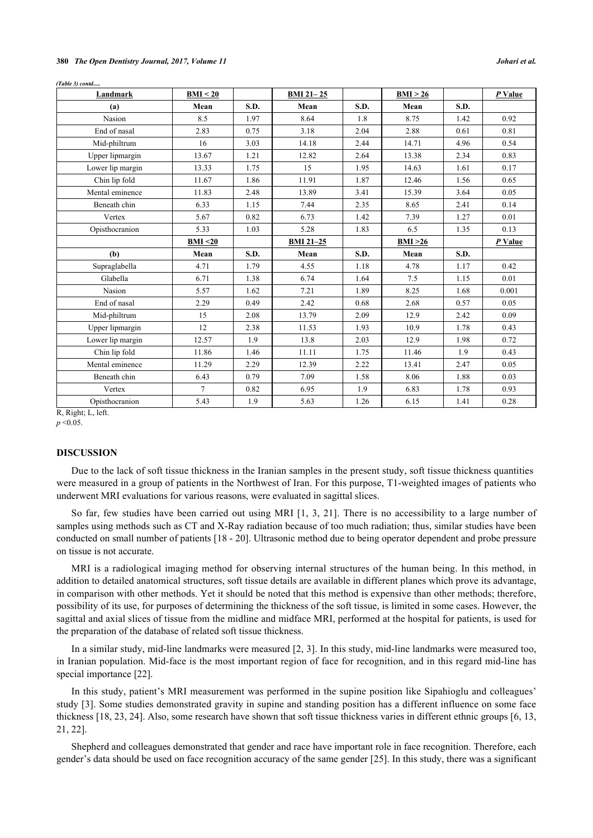| (Table 3) contd |          |      |                  |      |          |      |           |
|-----------------|----------|------|------------------|------|----------|------|-----------|
| Landmark        | BMI < 20 |      | <b>BMI 21-25</b> |      | BMI > 26 |      | $P$ Value |
| (a)             | Mean     | S.D. | Mean             | S.D. | Mean     | S.D. |           |
| Nasion          | 8.5      | 1.97 | 8.64             | 1.8  | 8.75     | 1.42 | 0.92      |
| End of nasal    | 2.83     | 0.75 | 3.18             | 2.04 | 2.88     | 0.61 | 0.81      |
| Mid-philtrum    | 16       | 3.03 | 14.18            | 2.44 | 14.71    | 4.96 | 0.54      |

| Chin lip fold    | 11.67    | 1.86 | 11.91            | 1.87 | 12.46   | 1.56 | 0.65    |
|------------------|----------|------|------------------|------|---------|------|---------|
| Mental eminence  | 11.83    | 2.48 | 13.89            | 3.41 | 15.39   | 3.64 | 0.05    |
| Beneath chin     | 6.33     | 1.15 | 7.44             | 2.35 | 8.65    | 2.41 | 0.14    |
| Vertex           | 5.67     | 0.82 | 6.73             | 1.42 | 7.39    | 1.27 | 0.01    |
| Opisthocranion   | 5.33     | 1.03 | 5.28             | 1.83 | 6.5     | 1.35 | 0.13    |
|                  | BMI < 20 |      | <b>BMI 21-25</b> |      | BMI >26 |      | P Value |
| (b)              | Mean     | S.D. | Mean             | S.D. | Mean    | S.D. |         |
| Supraglabella    | 4.71     | 1.79 | 4.55             | 1.18 | 4.78    | 1.17 | 0.42    |
| Glabella         | 6.71     | 1.38 | 6.74             | 1.64 | 7.5     | 1.15 | 0.01    |
| Nasion           | 5.57     | 1.62 | 7.21             | 1.89 | 8.25    | 1.68 | 0.001   |
| End of nasal     | 2.29     | 0.49 | 2.42             | 0.68 | 2.68    | 0.57 | 0.05    |
| Mid-philtrum     | 15       | 2.08 | 13.79            | 2.09 | 12.9    | 2.42 | 0.09    |
| Upper lipmargin  | 12       | 2.38 | 11.53            | 1.93 | 10.9    | 1.78 | 0.43    |
| Lower lip margin | 12.57    | 1.9  | 13.8             | 2.03 | 12.9    | 1.98 | 0.72    |

Upper lipmargin 13.67 1.21 12.82 2.64 13.38 2.34 0.83 Lower lip margin 13.33 1.75 15 1.95 1.4.63 1.61 0.17

R, Right; L, left.

*p* <0.05.

# **DISCUSSION**

Due to the lack of soft tissue thickness in the Iranian samples in the present study, soft tissue thickness quantities were measured in a group of patients in the Northwest of Iran. For this purpose, T1-weighted images of patients who underwent MRI evaluations for various reasons, were evaluated in sagittal slices.

Chin lip fold 11.86 1.46 11.11 1.75 11.46 1.9 0.43 Mental eminence 11.29 2.29 12.39 2.22 13.41 2.47 0.05 Beneath chin 6.43 0.79 7.09 1.58 8.06 1.88 0.03 Vertex 1 7 0.82 6.95 1.9 6.83 1.78 0.93 Opisthocranion 5.43 1.9 5.63 1.26 6.15 1.41 0.28

So far, few studies have been carried out using MRI [[1](#page-6-0), [3,](#page-7-1) [21](#page-7-11)]. There is no accessibility to a large number of samples using methods such as CT and X-Ray radiation because of too much radiation; thus, similar studies have been conducted on small number of patients [[18](#page-7-9) - [20](#page-7-10)]. Ultrasonic method due to being operator dependent and probe pressure on tissue is not accurate.

MRI is a radiological imaging method for observing internal structures of the human being. In this method, in addition to detailed anatomical structures, soft tissue details are available in different planes which prove its advantage, in comparison with other methods. Yet it should be noted that this method is expensive than other methods; therefore, possibility of its use, for purposes of determining the thickness of the soft tissue, is limited in some cases. However, the sagittal and axial slices of tissue from the midline and midface MRI, performed at the hospital for patients, is used for the preparation of the database of related soft tissue thickness.

In a similar study, mid-line landmarks were measured [\[2](#page-7-0), [3\]](#page-7-1). In this study, mid-line landmarks were measured too, in Iranian population. Mid-face is the most important region of face for recognition, and in this regard mid-line has special importance [[22\]](#page-7-12).

In this study, patient's MRI measurement was performed in the supine position like Sipahioglu and colleagues' study [\[3](#page-7-1)]. Some studies demonstrated gravity in supine and standing position has a different influence on some face thickness [[18,](#page-7-9) [23,](#page-7-13) [24\]](#page-7-14). Also, some research have shown that soft tissue thickness varies in different ethnic groups [[6](#page-7-15), [13](#page-7-5), [21,](#page-7-11) [22\]](#page-7-12).

Shepherd and colleagues demonstrated that gender and race have important role in face recognition. Therefore, each gender's data should be used on face recognition accuracy of the same gender [\[25](#page-7-16)]. In this study, there was a significant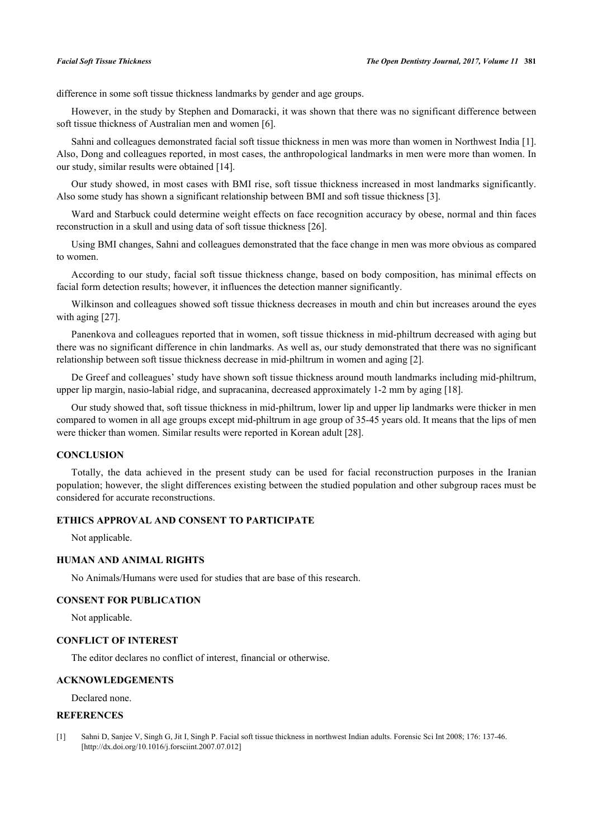difference in some soft tissue thickness landmarks by gender and age groups.

However, in the study by Stephen and Domaracki, it was shown that there was no significant difference between soft tissue thickness of Australian men and women [\[6](#page-7-15)].

Sahni and colleagues demonstrated facial soft tissue thickness in men was more than women in Northwest India [[1\]](#page-6-0). Also, Dong and colleagues reported, in most cases, the anthropological landmarks in men were more than women. In our study, similar results were obtained [\[14](#page-7-6)].

Our study showed, in most cases with BMI rise, soft tissue thickness increased in most landmarks significantly. Also some study has shown a significant relationship between BMI and soft tissue thickness [[3\]](#page-7-1).

Ward and Starbuck could determine weight effects on face recognition accuracy by obese, normal and thin faces reconstruction in a skull and using data of soft tissue thickness [[26\]](#page-8-0).

Using BMI changes, Sahni and colleagues demonstrated that the face change in men was more obvious as compared to women.

According to our study, facial soft tissue thickness change, based on body composition, has minimal effects on facial form detection results; however, it influences the detection manner significantly.

Wilkinson and colleagues showed soft tissue thickness decreases in mouth and chin but increases around the eyes with aging [\[27](#page-8-1)].

Panenkova and colleagues reported that in women, soft tissue thickness in mid-philtrum decreased with aging but there was no significant difference in chin landmarks. As well as, our study demonstrated that there was no significant relationship between soft tissue thickness decrease in mid-philtrum in women and aging [[2\]](#page-7-0).

De Greef and colleagues' study have shown soft tissue thickness around mouth landmarks including mid-philtrum, upper lip margin, nasio-labial ridge, and supracanina, decreased approximately 1-2 mm by aging [\[18](#page-7-9)].

Our study showed that, soft tissue thickness in mid-philtrum, lower lip and upper lip landmarks were thicker in men compared to women in all age groups except mid-philtrum in age group of 35-45 years old. It means that the lips of men were thicker than women. Similar results were reported in Korean adult [\[28](#page-8-2)].

# **CONCLUSION**

Totally, the data achieved in the present study can be used for facial reconstruction purposes in the Iranian population; however, the slight differences existing between the studied population and other subgroup races must be considered for accurate reconstructions.

# **ETHICS APPROVAL AND CONSENT TO PARTICIPATE**

Not applicable.

# **HUMAN AND ANIMAL RIGHTS**

No Animals/Humans were used for studies that are base of this research.

# **CONSENT FOR PUBLICATION**

Not applicable.

# **CONFLICT OF INTEREST**

The editor declares no conflict of interest, financial or otherwise.

# **ACKNOWLEDGEMENTS**

Declared none.

# **REFERENCES**

<span id="page-6-0"></span>[1] Sahni D, Sanjee V, Singh G, Jit I, Singh P. Facial soft tissue thickness in northwest Indian adults. Forensic Sci Int 2008; 176: 137-46. [\[http://dx.doi.org/10.1016/j.forsciint.2007.07.012\]](http://dx.doi.org/10.1016/j.forsciint.2007.07.012)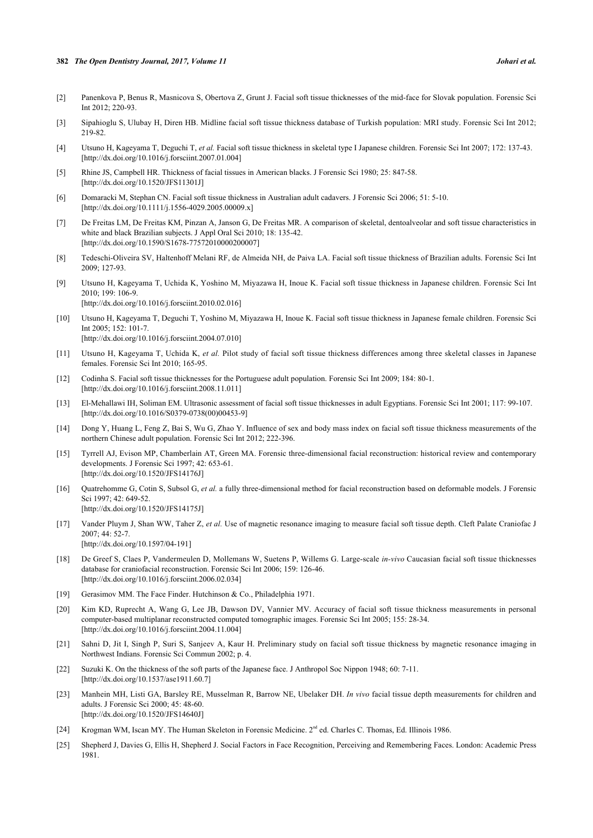### **382** *The Open Dentistry Journal, 2017, Volume 11 Johari et al.*

- <span id="page-7-0"></span>[2] Panenkova P, Benus R, Masnicova S, Obertova Z, Grunt J. Facial soft tissue thicknesses of the mid-face for Slovak population. Forensic Sci Int 2012; 220-93.
- <span id="page-7-1"></span>[3] Sipahioglu S, Ulubay H, Diren HB. Midline facial soft tissue thickness database of Turkish population: MRI study. Forensic Sci Int 2012; 219-82
- <span id="page-7-2"></span>[4] Utsuno H, Kageyama T, Deguchi T, *et al.* Facial soft tissue thickness in skeletal type I Japanese children. Forensic Sci Int 2007; 172: 137-43. [\[http://dx.doi.org/10.1016/j.forsciint.2007.01.004\]](http://dx.doi.org/10.1016/j.forsciint.2007.01.004)
- <span id="page-7-3"></span>[5] Rhine JS, Campbell HR. Thickness of facial tissues in American blacks. J Forensic Sci 1980; 25: 847-58. [\[http://dx.doi.org/10.1520/JFS11301J\]](http://dx.doi.org/10.1520/JFS11301J)
- <span id="page-7-15"></span>[6] Domaracki M, Stephan CN. Facial soft tissue thickness in Australian adult cadavers. J Forensic Sci 2006; 51: 5-10. [\[http://dx.doi.org/10.1111/j.1556-4029.2005.00009.x\]](http://dx.doi.org/10.1111/j.1556-4029.2005.00009.x)
- [7] De Freitas LM, De Freitas KM, Pinzan A, Janson G, De Freitas MR. A comparison of skeletal, dentoalveolar and soft tissue characteristics in white and black Brazilian subjects. J Appl Oral Sci 2010; 18: 135-42. [\[http://dx.doi.org/10.1590/S1678-77572010000200007\]](http://dx.doi.org/10.1590/S1678-77572010000200007)
- [8] Tedeschi-Oliveira SV, Haltenhoff Melani RF, de Almeida NH, de Paiva LA. Facial soft tissue thickness of Brazilian adults. Forensic Sci Int 2009; 127-93.
- [9] Utsuno H, Kageyama T, Uchida K, Yoshino M, Miyazawa H, Inoue K. Facial soft tissue thickness in Japanese children. Forensic Sci Int 2010; 199: 106-9. [\[http://dx.doi.org/10.1016/j.forsciint.2010.02.016\]](http://dx.doi.org/10.1016/j.forsciint.2010.02.016)
- [10] Utsuno H, Kageyama T, Deguchi T, Yoshino M, Miyazawa H, Inoue K. Facial soft tissue thickness in Japanese female children. Forensic Sci Int 2005; 152: 101-7. [\[http://dx.doi.org/10.1016/j.forsciint.2004.07.010\]](http://dx.doi.org/10.1016/j.forsciint.2004.07.010)
- [11] Utsuno H, Kageyama T, Uchida K, *et al.* Pilot study of facial soft tissue thickness differences among three skeletal classes in Japanese females. Forensic Sci Int 2010; 165-95.
- <span id="page-7-4"></span>[12] Codinha S. Facial soft tissue thicknesses for the Portuguese adult population. Forensic Sci Int 2009; 184: 80-1. [\[http://dx.doi.org/10.1016/j.forsciint.2008.11.011\]](http://dx.doi.org/10.1016/j.forsciint.2008.11.011)
- <span id="page-7-5"></span>[13] El-Mehallawi IH, Soliman EM. Ultrasonic assessment of facial soft tissue thicknesses in adult Egyptians. Forensic Sci Int 2001; 117: 99-107. [\[http://dx.doi.org/10.1016/S0379-0738\(00\)00453-9\]](http://dx.doi.org/10.1016/S0379-0738(00)00453-9)
- <span id="page-7-6"></span>[14] Dong Y, Huang L, Feng Z, Bai S, Wu G, Zhao Y. Influence of sex and body mass index on facial soft tissue thickness measurements of the northern Chinese adult population. Forensic Sci Int 2012; 222-396.
- [15] Tyrrell AJ, Evison MP, Chamberlain AT, Green MA. Forensic three-dimensional facial reconstruction: historical review and contemporary developments. J Forensic Sci 1997; 42: 653-61. [\[http://dx.doi.org/10.1520/JFS14176J\]](http://dx.doi.org/10.1520/JFS14176J)
- <span id="page-7-7"></span>[16] Quatrehomme G, Cotin S, Subsol G, *et al.* a fully three-dimensional method for facial reconstruction based on deformable models. J Forensic Sci 1997: 42: 649-52. [\[http://dx.doi.org/10.1520/JFS14175J\]](http://dx.doi.org/10.1520/JFS14175J)
- <span id="page-7-8"></span>[17] Vander Pluym J, Shan WW, Taher Z, *et al.* Use of magnetic resonance imaging to measure facial soft tissue depth. Cleft Palate Craniofac J 2007; 44: 52-7. [\[http://dx.doi.org/10.1597/04-191](http://dx.doi.org/10.1597/04-191)]
- <span id="page-7-9"></span>[18] De Greef S, Claes P, Vandermeulen D, Mollemans W, Suetens P, Willems G. Large-scale *in-vivo* Caucasian facial soft tissue thicknesses database for craniofacial reconstruction. Forensic Sci Int 2006; 159: 126-46. [\[http://dx.doi.org/10.1016/j.forsciint.2006.02.034\]](http://dx.doi.org/10.1016/j.forsciint.2006.02.034)
- [19] Gerasimov MM. The Face Finder. Hutchinson & Co., Philadelphia 1971.
- <span id="page-7-10"></span>[20] Kim KD, Ruprecht A, Wang G, Lee JB, Dawson DV, Vannier MV. Accuracy of facial soft tissue thickness measurements in personal computer-based multiplanar reconstructed computed tomographic images. Forensic Sci Int 2005; 155: 28-34. [\[http://dx.doi.org/10.1016/j.forsciint.2004.11.004\]](http://dx.doi.org/10.1016/j.forsciint.2004.11.004)
- <span id="page-7-11"></span>[21] Sahni D, Jit I, Singh P, Suri S, Sanjeev A, Kaur H. Preliminary study on facial soft tissue thickness by magnetic resonance imaging in Northwest Indians. Forensic Sci Commun 2002; p. 4.
- <span id="page-7-12"></span>[22] Suzuki K. On the thickness of the soft parts of the Japanese face. J Anthropol Soc Nippon 1948; 60: 7-11. [\[http://dx.doi.org/10.1537/ase1911.60.7](http://dx.doi.org/10.1537/ase1911.60.7)]
- <span id="page-7-13"></span>[23] Manhein MH, Listi GA, Barsley RE, Musselman R, Barrow NE, Ubelaker DH. *In vivo* facial tissue depth measurements for children and adults. J Forensic Sci 2000; 45: 48-60. [\[http://dx.doi.org/10.1520/JFS14640J\]](http://dx.doi.org/10.1520/JFS14640J)
- <span id="page-7-14"></span>[24] Krogman WM, Iscan MY. The Human Skeleton in Forensic Medicine. 2<sup>nd</sup> ed. Charles C. Thomas, Ed. Illinois 1986.
- <span id="page-7-16"></span>[25] Shepherd J, Davies G, Ellis H, Shepherd J. Social Factors in Face Recognition, Perceiving and Remembering Faces. London: Academic Press 1981.